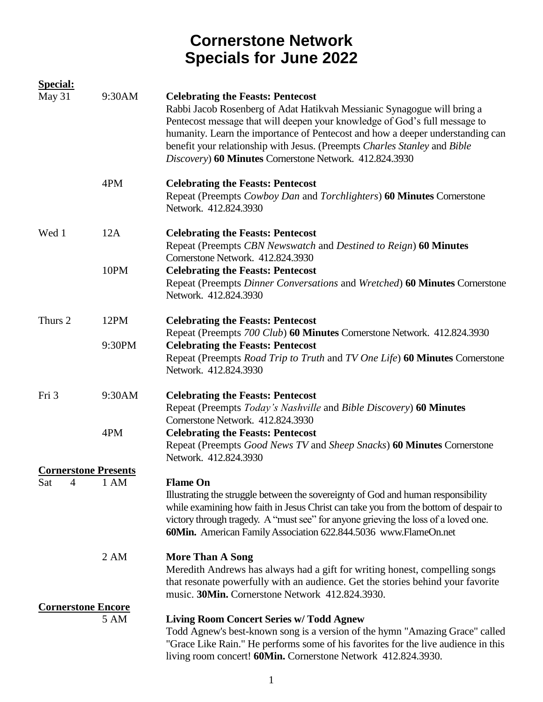| <b>Special:</b>             |        |                                                                                                                                                                                                                                                                                                                                                                                                                             |
|-----------------------------|--------|-----------------------------------------------------------------------------------------------------------------------------------------------------------------------------------------------------------------------------------------------------------------------------------------------------------------------------------------------------------------------------------------------------------------------------|
| May 31                      | 9:30AM | <b>Celebrating the Feasts: Pentecost</b><br>Rabbi Jacob Rosenberg of Adat Hatikvah Messianic Synagogue will bring a<br>Pentecost message that will deepen your knowledge of God's full message to<br>humanity. Learn the importance of Pentecost and how a deeper understanding can<br>benefit your relationship with Jesus. (Preempts Charles Stanley and Bible<br>Discovery) 60 Minutes Cornerstone Network. 412.824.3930 |
|                             | 4PM    | <b>Celebrating the Feasts: Pentecost</b><br>Repeat (Preempts Cowboy Dan and Torchlighters) 60 Minutes Cornerstone<br>Network. 412.824.3930                                                                                                                                                                                                                                                                                  |
| Wed 1                       | 12A    | <b>Celebrating the Feasts: Pentecost</b><br>Repeat (Preempts CBN Newswatch and Destined to Reign) 60 Minutes                                                                                                                                                                                                                                                                                                                |
|                             | 10PM   | Cornerstone Network. 412.824.3930<br><b>Celebrating the Feasts: Pentecost</b><br>Repeat (Preempts Dinner Conversations and Wretched) 60 Minutes Cornerstone<br>Network. 412.824.3930                                                                                                                                                                                                                                        |
| Thurs 2                     | 12PM   | <b>Celebrating the Feasts: Pentecost</b><br>Repeat (Preempts 700 Club) 60 Minutes Cornerstone Network. 412.824.3930                                                                                                                                                                                                                                                                                                         |
|                             | 9:30PM | <b>Celebrating the Feasts: Pentecost</b><br>Repeat (Preempts Road Trip to Truth and TV One Life) 60 Minutes Cornerstone<br>Network. 412.824.3930                                                                                                                                                                                                                                                                            |
| Fri 3                       | 9:30AM | <b>Celebrating the Feasts: Pentecost</b><br>Repeat (Preempts Today's Nashville and Bible Discovery) 60 Minutes<br>Cornerstone Network. 412.824.3930                                                                                                                                                                                                                                                                         |
|                             | 4PM    | <b>Celebrating the Feasts: Pentecost</b><br>Repeat (Preempts Good News TV and Sheep Snacks) 60 Minutes Cornerstone<br>Network. 412.824.3930                                                                                                                                                                                                                                                                                 |
| <b>Cornerstone Presents</b> |        |                                                                                                                                                                                                                                                                                                                                                                                                                             |
| 4<br>Sat                    | 1 AM   | <b>Flame On</b><br>Illustrating the struggle between the sovereignty of God and human responsibility<br>while examining how faith in Jesus Christ can take you from the bottom of despair to<br>victory through tragedy. A "must see" for anyone grieving the loss of a loved one.<br>60Min. American Family Association 622.844.5036 www.FlameOn.net                                                                       |
|                             | 2 AM   | <b>More Than A Song</b><br>Meredith Andrews has always had a gift for writing honest, compelling songs<br>that resonate powerfully with an audience. Get the stories behind your favorite<br>music. 30Min. Cornerstone Network 412.824.3930.                                                                                                                                                                                |
| <b>Cornerstone Encore</b>   |        |                                                                                                                                                                                                                                                                                                                                                                                                                             |
|                             | 5 AM   | <b>Living Room Concert Series w/ Todd Agnew</b><br>Todd Agnew's best-known song is a version of the hymn "Amazing Grace" called<br>"Grace Like Rain." He performs some of his favorites for the live audience in this<br>living room concert! 60Min. Cornerstone Network 412.824.3930.                                                                                                                                      |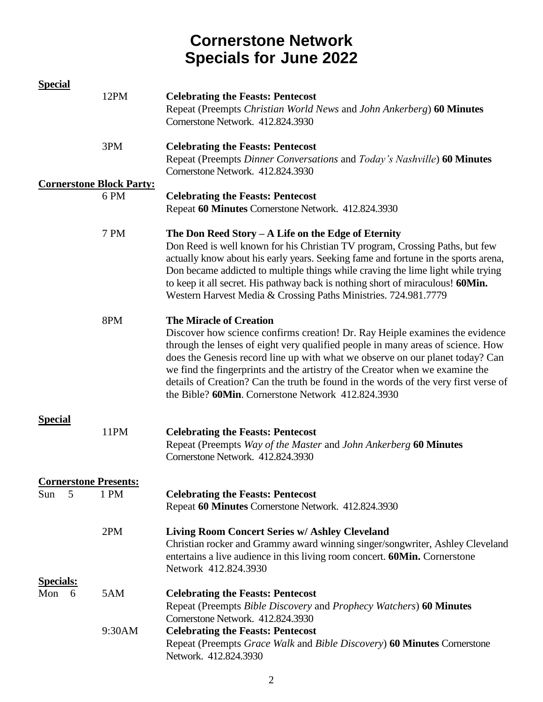| <b>Special</b>               |                                      |                                                                                                                                                                                                                                                                                                                                                                                                                                                                                                                 |
|------------------------------|--------------------------------------|-----------------------------------------------------------------------------------------------------------------------------------------------------------------------------------------------------------------------------------------------------------------------------------------------------------------------------------------------------------------------------------------------------------------------------------------------------------------------------------------------------------------|
|                              | 12PM                                 | <b>Celebrating the Feasts: Pentecost</b><br>Repeat (Preempts Christian World News and John Ankerberg) 60 Minutes<br>Cornerstone Network. 412.824.3930                                                                                                                                                                                                                                                                                                                                                           |
|                              | 3PM                                  | <b>Celebrating the Feasts: Pentecost</b><br>Repeat (Preempts Dinner Conversations and Today's Nashville) 60 Minutes<br>Cornerstone Network. 412.824.3930                                                                                                                                                                                                                                                                                                                                                        |
|                              | <b>Cornerstone Block Party:</b>      |                                                                                                                                                                                                                                                                                                                                                                                                                                                                                                                 |
|                              | 6 PM                                 | <b>Celebrating the Feasts: Pentecost</b><br>Repeat 60 Minutes Cornerstone Network. 412.824.3930                                                                                                                                                                                                                                                                                                                                                                                                                 |
|                              | 7 PM                                 | The Don Reed Story $-A$ Life on the Edge of Eternity<br>Don Reed is well known for his Christian TV program, Crossing Paths, but few<br>actually know about his early years. Seeking fame and fortune in the sports arena,<br>Don became addicted to multiple things while craving the lime light while trying<br>to keep it all secret. His pathway back is nothing short of miraculous! 60Min.<br>Western Harvest Media & Crossing Paths Ministries. 724.981.7779                                             |
|                              | 8PM                                  | <b>The Miracle of Creation</b><br>Discover how science confirms creation! Dr. Ray Heiple examines the evidence<br>through the lenses of eight very qualified people in many areas of science. How<br>does the Genesis record line up with what we observe on our planet today? Can<br>we find the fingerprints and the artistry of the Creator when we examine the<br>details of Creation? Can the truth be found in the words of the very first verse of<br>the Bible? 60Min. Cornerstone Network 412.824.3930 |
| <b>Special</b>               | 11PM                                 | <b>Celebrating the Feasts: Pentecost</b><br>Repeat (Preempts Way of the Master and John Ankerberg 60 Minutes<br>Cornerstone Network. 412.824.3930                                                                                                                                                                                                                                                                                                                                                               |
| 5<br>Sun                     | <b>Cornerstone Presents:</b><br>1 PM | <b>Celebrating the Feasts: Pentecost</b><br>Repeat 60 Minutes Cornerstone Network. 412.824.3930                                                                                                                                                                                                                                                                                                                                                                                                                 |
|                              | 2PM                                  | Living Room Concert Series w/ Ashley Cleveland<br>Christian rocker and Grammy award winning singer/songwriter, Ashley Cleveland<br>entertains a live audience in this living room concert. 60Min. Cornerstone<br>Network 412.824.3930                                                                                                                                                                                                                                                                           |
| <b>Specials:</b><br>Mon<br>6 | 5AM                                  | <b>Celebrating the Feasts: Pentecost</b><br>Repeat (Preempts Bible Discovery and Prophecy Watchers) 60 Minutes<br>Cornerstone Network. 412.824.3930                                                                                                                                                                                                                                                                                                                                                             |
|                              | 9:30AM                               | <b>Celebrating the Feasts: Pentecost</b><br>Repeat (Preempts Grace Walk and Bible Discovery) 60 Minutes Cornerstone<br>Network. 412.824.3930                                                                                                                                                                                                                                                                                                                                                                    |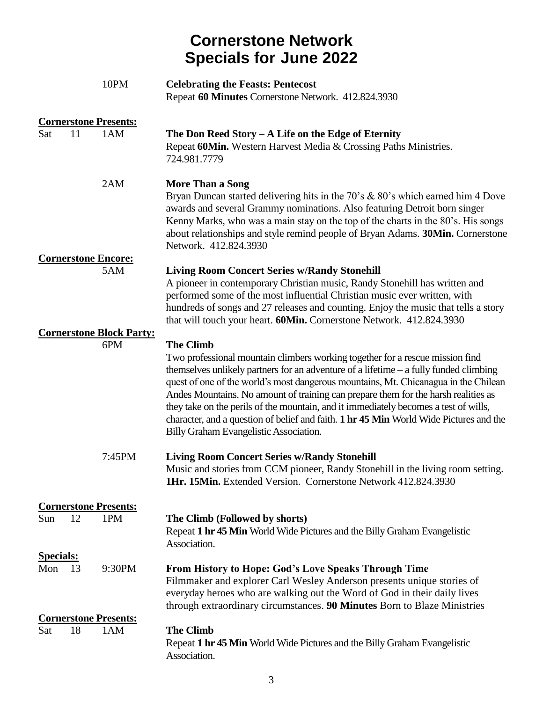|                  |    | 10PM                                | <b>Celebrating the Feasts: Pentecost</b><br>Repeat 60 Minutes Cornerstone Network. 412.824.3930                                                                                                                                                                                                                                                                                                                                                                                                                                                                                                       |
|------------------|----|-------------------------------------|-------------------------------------------------------------------------------------------------------------------------------------------------------------------------------------------------------------------------------------------------------------------------------------------------------------------------------------------------------------------------------------------------------------------------------------------------------------------------------------------------------------------------------------------------------------------------------------------------------|
|                  |    | <b>Cornerstone Presents:</b>        |                                                                                                                                                                                                                                                                                                                                                                                                                                                                                                                                                                                                       |
| Sat              | 11 | 1AM                                 | The Don Reed Story $-A$ Life on the Edge of Eternity<br>Repeat 60Min. Western Harvest Media & Crossing Paths Ministries.<br>724.981.7779                                                                                                                                                                                                                                                                                                                                                                                                                                                              |
|                  |    | 2AM                                 | <b>More Than a Song</b><br>Bryan Duncan started delivering hits in the 70's & 80's which earned him 4 Dove<br>awards and several Grammy nominations. Also featuring Detroit born singer<br>Kenny Marks, who was a main stay on the top of the charts in the 80's. His songs<br>about relationships and style remind people of Bryan Adams. 30Min. Cornerstone<br>Network. 412.824.3930                                                                                                                                                                                                                |
|                  |    | <b>Cornerstone Encore:</b>          |                                                                                                                                                                                                                                                                                                                                                                                                                                                                                                                                                                                                       |
|                  |    | 5AM                                 | <b>Living Room Concert Series w/Randy Stonehill</b><br>A pioneer in contemporary Christian music, Randy Stonehill has written and<br>performed some of the most influential Christian music ever written, with<br>hundreds of songs and 27 releases and counting. Enjoy the music that tells a story<br>that will touch your heart. 60Min. Cornerstone Network. 412.824.3930                                                                                                                                                                                                                          |
|                  |    | <b>Cornerstone Block Party:</b>     |                                                                                                                                                                                                                                                                                                                                                                                                                                                                                                                                                                                                       |
|                  |    | 6PM                                 | <b>The Climb</b><br>Two professional mountain climbers working together for a rescue mission find<br>themselves unlikely partners for an adventure of a lifetime $-$ a fully funded climbing<br>quest of one of the world's most dangerous mountains, Mt. Chicanagua in the Chilean<br>Andes Mountains. No amount of training can prepare them for the harsh realities as<br>they take on the perils of the mountain, and it immediately becomes a test of wills,<br>character, and a question of belief and faith. 1 hr 45 Min World Wide Pictures and the<br>Billy Graham Evangelistic Association. |
|                  |    | 7:45PM                              | <b>Living Room Concert Series w/Randy Stonehill</b><br>Music and stories from CCM pioneer, Randy Stonehill in the living room setting.<br><b>1Hr. 15Min.</b> Extended Version. Cornerstone Network 412.824.3930                                                                                                                                                                                                                                                                                                                                                                                       |
|                  |    |                                     |                                                                                                                                                                                                                                                                                                                                                                                                                                                                                                                                                                                                       |
| Sun              | 12 | <b>Cornerstone Presents:</b><br>1PM | The Climb (Followed by shorts)<br>Repeat 1 hr 45 Min World Wide Pictures and the Billy Graham Evangelistic<br>Association.                                                                                                                                                                                                                                                                                                                                                                                                                                                                            |
| <b>Specials:</b> |    |                                     |                                                                                                                                                                                                                                                                                                                                                                                                                                                                                                                                                                                                       |
| Mon              | 13 | 9:30PM                              | From History to Hope: God's Love Speaks Through Time<br>Filmmaker and explorer Carl Wesley Anderson presents unique stories of<br>everyday heroes who are walking out the Word of God in their daily lives<br>through extraordinary circumstances. 90 Minutes Born to Blaze Ministries                                                                                                                                                                                                                                                                                                                |
|                  |    | <b>Cornerstone Presents:</b>        |                                                                                                                                                                                                                                                                                                                                                                                                                                                                                                                                                                                                       |
| Sat              | 18 | 1AM                                 | <b>The Climb</b><br>Repeat 1 hr 45 Min World Wide Pictures and the Billy Graham Evangelistic<br>Association.                                                                                                                                                                                                                                                                                                                                                                                                                                                                                          |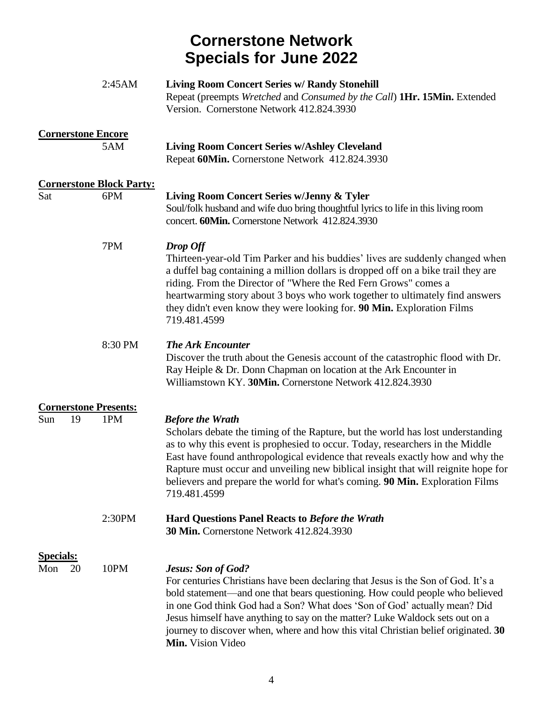|                               | 2:45AM                                 | <b>Living Room Concert Series w/ Randy Stonehill</b><br>Repeat (preempts Wretched and Consumed by the Call) 1Hr. 15Min. Extended<br>Version. Cornerstone Network 412.824.3930                                                                                                                                                                                                                                                                                          |
|-------------------------------|----------------------------------------|------------------------------------------------------------------------------------------------------------------------------------------------------------------------------------------------------------------------------------------------------------------------------------------------------------------------------------------------------------------------------------------------------------------------------------------------------------------------|
|                               | <b>Cornerstone Encore</b><br>5AM       | <b>Living Room Concert Series w/Ashley Cleveland</b><br>Repeat 60Min. Cornerstone Network 412.824.3930                                                                                                                                                                                                                                                                                                                                                                 |
| Sat                           | <b>Cornerstone Block Party:</b><br>6PM | Living Room Concert Series w/Jenny & Tyler<br>Soul/folk husband and wife duo bring thoughtful lyrics to life in this living room<br>concert. 60Min. Cornerstone Network 412.824.3930                                                                                                                                                                                                                                                                                   |
|                               | 7PM                                    | Drop Off<br>Thirteen-year-old Tim Parker and his buddies' lives are suddenly changed when<br>a duffel bag containing a million dollars is dropped off on a bike trail they are<br>riding. From the Director of "Where the Red Fern Grows" comes a<br>heartwarming story about 3 boys who work together to ultimately find answers<br>they didn't even know they were looking for. 90 Min. Exploration Films<br>719.481.4599                                            |
|                               | 8:30 PM                                | <b>The Ark Encounter</b><br>Discover the truth about the Genesis account of the catastrophic flood with Dr.<br>Ray Heiple & Dr. Donn Chapman on location at the Ark Encounter in<br>Williamstown KY. 30Min. Cornerstone Network 412.824.3930                                                                                                                                                                                                                           |
|                               | <b>Cornerstone Presents:</b>           |                                                                                                                                                                                                                                                                                                                                                                                                                                                                        |
| Sun<br>19                     | 1PM                                    | <b>Before the Wrath</b><br>Scholars debate the timing of the Rapture, but the world has lost understanding<br>as to why this event is prophesied to occur. Today, researchers in the Middle<br>East have found anthropological evidence that reveals exactly how and why the<br>Rapture must occur and unveiling new biblical insight that will reignite hope for<br>believers and prepare the world for what's coming. 90 Min. Exploration Films<br>719.481.4599      |
|                               | 2:30PM                                 | <b>Hard Questions Panel Reacts to Before the Wrath</b><br><b>30 Min.</b> Cornerstone Network 412.824.3930                                                                                                                                                                                                                                                                                                                                                              |
| <b>Specials:</b><br>Mon<br>20 | 10PM                                   | <b>Jesus: Son of God?</b><br>For centuries Christians have been declaring that Jesus is the Son of God. It's a<br>bold statement—and one that bears questioning. How could people who believed<br>in one God think God had a Son? What does 'Son of God' actually mean? Did<br>Jesus himself have anything to say on the matter? Luke Waldock sets out on a<br>journey to discover when, where and how this vital Christian belief originated. 30<br>Min. Vision Video |